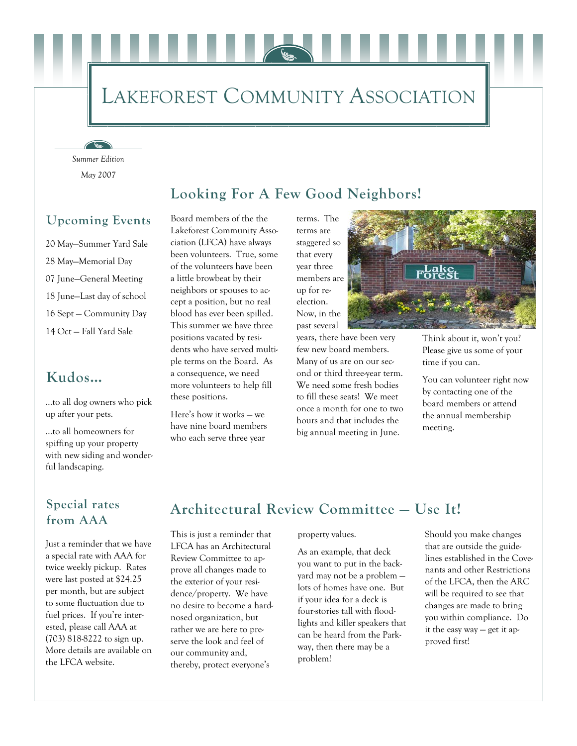## LAKEFOREST COMMUNITY ASSOCIATION

*May 2007 Summer Edition* 

 $\sqrt{16}$ 

#### **Looking For A Few Good Neighbors!**

#### **Upcoming Events**

20 May—Summer Yard Sale 28 May—Memorial Day 07 June—General Meeting 18 June—Last day of school 16 Sept — Community Day 14 Oct — Fall Yard Sale

#### **Kudos…**

...to all dog owners who pick up after your pets.

...to all homeowners for spiffing up your property with new siding and wonderful landscaping.

Board members of the the Lakeforest Community Association (LFCA) have always been volunteers. True, some of the volunteers have been a little browbeat by their neighbors or spouses to accept a position, but no real blood has ever been spilled. This summer we have three positions vacated by residents who have served multiple terms on the Board. As a consequence, we need more volunteers to help fill these positions.

Here's how it works — we have nine board members who each serve three year

terms. The terms are staggered so that every year three members are up for reelection. Now, in the past several

years, there have been very few new board members. Many of us are on our second or third three-year term. We need some fresh bodies to fill these seats! We meet once a month for one to two hours and that includes the big annual meeting in June.



Think about it, won't you? Please give us some of your time if you can.

You can volunteer right now by contacting one of the board members or attend the annual membership meeting.

#### **Special rates from AAA**

Just a reminder that we have a special rate with AAA for twice weekly pickup. Rates were last posted at \$24.25 per month, but are subject to some fluctuation due to fuel prices. If you're interested, please call AAA at (703) 818-8222 to sign up. More details are available on the LFCA website.

### **Architectural Review Committee — Use It!**

This is just a reminder that LFCA has an Architectural Review Committee to approve all changes made to the exterior of your residence/property. We have no desire to become a hardnosed organization, but rather we are here to preserve the look and feel of our community and, thereby, protect everyone's

property values.

As an example, that deck you want to put in the backyard may not be a problem lots of homes have one. But if your idea for a deck is four-stories tall with floodlights and killer speakers that can be heard from the Parkway, then there may be a problem!

Should you make changes that are outside the guidelines established in the Covenants and other Restrictions of the LFCA, then the ARC will be required to see that changes are made to bring you within compliance. Do it the easy way — get it approved first!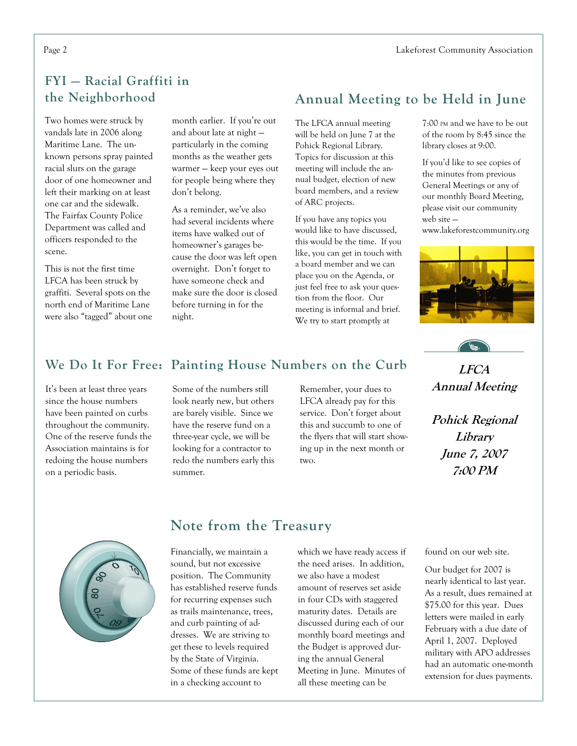#### **FYI — Racial Graffiti in the Neighborhood**

Two homes were struck by vandals late in 2006 along Maritime Lane. The unknown persons spray painted racial slurs on the garage door of one homeowner and left their marking on at least one car and the sidewalk. The Fairfax County Police Department was called and officers responded to the scene.

This is not the first time LFCA has been struck by graffiti. Several spots on the north end of Maritime Lane were also "tagged" about one

month earlier. If you're out and about late at night particularly in the coming months as the weather gets warmer — keep your eyes out for people being where they don't belong.

As a reminder, we've also had several incidents where items have walked out of homeowner's garages because the door was left open overnight. Don't forget to have someone check and make sure the door is closed before turning in for the night.

#### **Annual Meeting to be Held in June**

The LFCA annual meeting will be held on June 7 at the Pohick Regional Library. Topics for discussion at this meeting will include the annual budget, election of new board members, and a review of ARC projects.

If you have any topics you would like to have discussed, this would be the time. If you like, you can get in touch with a board member and we can place you on the Agenda, or just feel free to ask your question from the floor. Our meeting is informal and brief. We try to start promptly at

7:00 PM and we have to be out of the room by 8:45 since the library closes at 9:00.

If you'd like to see copies of the minutes from previous General Meetings or any of our monthly Board Meeting, please visit our community web site —

www.lakeforestcommunity.org



# **LFCA**

**Annual Meeting** 

**Pohick Regional Library June 7, 2007 7:00 PM** 

## **We Do It For Free: Painting House Numbers on the Curb**

It's been at least three years since the house numbers have been painted on curbs throughout the community. One of the reserve funds the Association maintains is for redoing the house numbers on a periodic basis.

Some of the numbers still look nearly new, but others are barely visible. Since we have the reserve fund on a three-year cycle, we will be looking for a contractor to redo the numbers early this summer.

Remember, your dues to LFCA already pay for this service. Don't forget about this and succumb to one of the flyers that will start showing up in the next month or two.



#### **Note from the Treasury**

Financially, we maintain a sound, but not excessive position. The Community has established reserve funds for recurring expenses such as trails maintenance, trees, and curb painting of addresses. We are striving to get these to levels required by the State of Virginia. Some of these funds are kept in a checking account to

which we have ready access if the need arises. In addition, we also have a modest amount of reserves set aside in four CDs with staggered maturity dates. Details are discussed during each of our monthly board meetings and the Budget is approved during the annual General Meeting in June. Minutes of all these meeting can be

found on our web site.

Our budget for 2007 is nearly identical to last year. As a result, dues remained at \$75.00 for this year. Dues letters were mailed in early February with a due date of April 1, 2007. Deployed military with APO addresses had an automatic one-month extension for dues payments.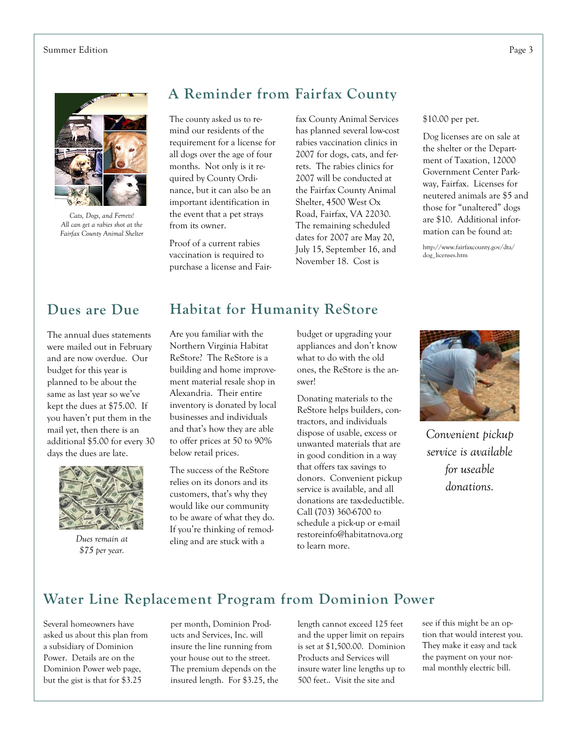#### Summer Edition Page 3



*Cats, Dogs, and Ferrets! All can get a rabies shot at the Fairfax County Animal Shelter* 

#### **A Reminder from Fairfax County**

The county asked us to remind our residents of the requirement for a license for all dogs over the age of four months. Not only is it required by County Ordinance, but it can also be an important identification in the event that a pet strays from its owner.

Proof of a current rabies vaccination is required to purchase a license and Fair-

fax County Animal Services has planned several low-cost rabies vaccination clinics in 2007 for dogs, cats, and ferrets. The rabies clinics for 2007 will be conducted at the Fairfax County Animal Shelter, 4500 West Ox Road, Fairfax, VA 22030. The remaining scheduled dates for 2007 are May 20, July 15, September 16, and November 18. Cost is

#### \$10.00 per pet.

Dog licenses are on sale at the shelter or the Department of Taxation, 12000 Government Center Parkway, Fairfax. Licenses for neutered animals are \$5 and those for "unaltered" dogs are \$10. Additional information can be found at:

http://www.fairfaxcounty.gov/dta/ dog\_licenses.htm

#### **Dues are Due**

The annual dues statements were mailed out in February and are now overdue. Our budget for this year is planned to be about the same as last year so we've kept the dues at \$75.00. If you haven't put them in the mail yet, then there is an additional \$5.00 for every 30 days the dues are late.



*Dues remain at \$75 per year.* 

#### **Habitat for Humanity ReStore**

Are you familiar with the Northern Virginia Habitat ReStore? The ReStore is a building and home improvement material resale shop in Alexandria. Their entire inventory is donated by local businesses and individuals and that's how they are able to offer prices at 50 to 90% below retail prices.

The success of the ReStore relies on its donors and its customers, that's why they would like our community to be aware of what they do. If you're thinking of remodeling and are stuck with a

budget or upgrading your appliances and don't know what to do with the old ones, the ReStore is the answer!

Donating materials to the ReStore helps builders, contractors, and individuals dispose of usable, excess or unwanted materials that are in good condition in a way that offers tax savings to donors. Convenient pickup service is available, and all donations are tax-deductible. Call (703) 360-6700 to schedule a pick-up or e-mail restoreinfo@habitatnova.org to learn more.



*Convenient pickup service is available for useable donations.* 

#### **Water Line Replacement Program from Dominion Power**

Several homeowners have asked us about this plan from a subsidiary of Dominion Power. Details are on the Dominion Power web page, but the gist is that for \$3.25

per month, Dominion Products and Services, Inc. will insure the line running from your house out to the street. The premium depends on the insured length. For \$3.25, the length cannot exceed 125 feet and the upper limit on repairs is set at \$1,500.00. Dominion Products and Services will insure water line lengths up to 500 feet.. Visit the site and

see if this might be an option that would interest you. They make it easy and tack the payment on your normal monthly electric bill.